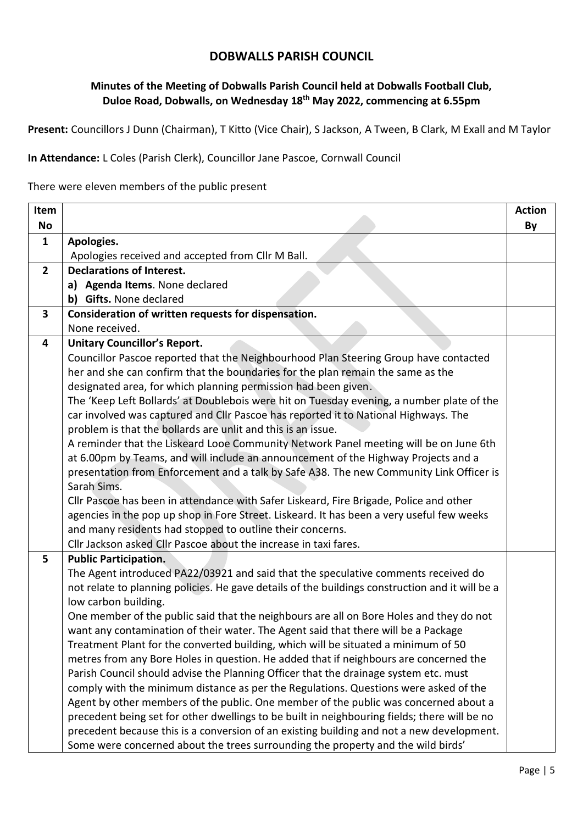## **DOBWALLS PARISH COUNCIL**

## **Minutes of the Meeting of Dobwalls Parish Council held at Dobwalls Football Club, Duloe Road, Dobwalls, on Wednesday 18th May 2022, commencing at 6.55pm**

**Present:** Councillors J Dunn (Chairman), T Kitto (Vice Chair), S Jackson, A Tween, B Clark, M Exall and M Taylor

**In Attendance:** L Coles (Parish Clerk), Councillor Jane Pascoe, Cornwall Council

There were eleven members of the public present

| Item           |                                                                                                 | <b>Action</b> |
|----------------|-------------------------------------------------------------------------------------------------|---------------|
| No             |                                                                                                 | By            |
| $\mathbf{1}$   | Apologies.                                                                                      |               |
|                | Apologies received and accepted from Cllr M Ball.                                               |               |
| $\overline{2}$ | <b>Declarations of Interest.</b>                                                                |               |
|                | a) Agenda Items. None declared                                                                  |               |
|                | b) Gifts. None declared                                                                         |               |
| 3              | Consideration of written requests for dispensation.                                             |               |
|                | None received.                                                                                  |               |
| 4              | <b>Unitary Councillor's Report.</b>                                                             |               |
|                | Councillor Pascoe reported that the Neighbourhood Plan Steering Group have contacted            |               |
|                | her and she can confirm that the boundaries for the plan remain the same as the                 |               |
|                | designated area, for which planning permission had been given.                                  |               |
|                | The 'Keep Left Bollards' at Doublebois were hit on Tuesday evening, a number plate of the       |               |
|                | car involved was captured and Cllr Pascoe has reported it to National Highways. The             |               |
|                | problem is that the bollards are unlit and this is an issue.                                    |               |
|                | A reminder that the Liskeard Looe Community Network Panel meeting will be on June 6th           |               |
|                | at 6.00pm by Teams, and will include an announcement of the Highway Projects and a              |               |
|                | presentation from Enforcement and a talk by Safe A38. The new Community Link Officer is         |               |
|                | Sarah Sims.                                                                                     |               |
|                | Cllr Pascoe has been in attendance with Safer Liskeard, Fire Brigade, Police and other          |               |
|                | agencies in the pop up shop in Fore Street. Liskeard. It has been a very useful few weeks       |               |
|                | and many residents had stopped to outline their concerns.                                       |               |
|                | Cllr Jackson asked Cllr Pascoe about the increase in taxi fares.                                |               |
| 5              | <b>Public Participation.</b>                                                                    |               |
|                | The Agent introduced PA22/03921 and said that the speculative comments received do              |               |
|                | not relate to planning policies. He gave details of the buildings construction and it will be a |               |
|                | low carbon building.                                                                            |               |
|                | One member of the public said that the neighbours are all on Bore Holes and they do not         |               |
|                | want any contamination of their water. The Agent said that there will be a Package              |               |
|                | Treatment Plant for the converted building, which will be situated a minimum of 50              |               |
|                | metres from any Bore Holes in question. He added that if neighbours are concerned the           |               |
|                | Parish Council should advise the Planning Officer that the drainage system etc. must            |               |
|                | comply with the minimum distance as per the Regulations. Questions were asked of the            |               |
|                | Agent by other members of the public. One member of the public was concerned about a            |               |
|                | precedent being set for other dwellings to be built in neighbouring fields; there will be no    |               |
|                | precedent because this is a conversion of an existing building and not a new development.       |               |
|                | Some were concerned about the trees surrounding the property and the wild birds'                |               |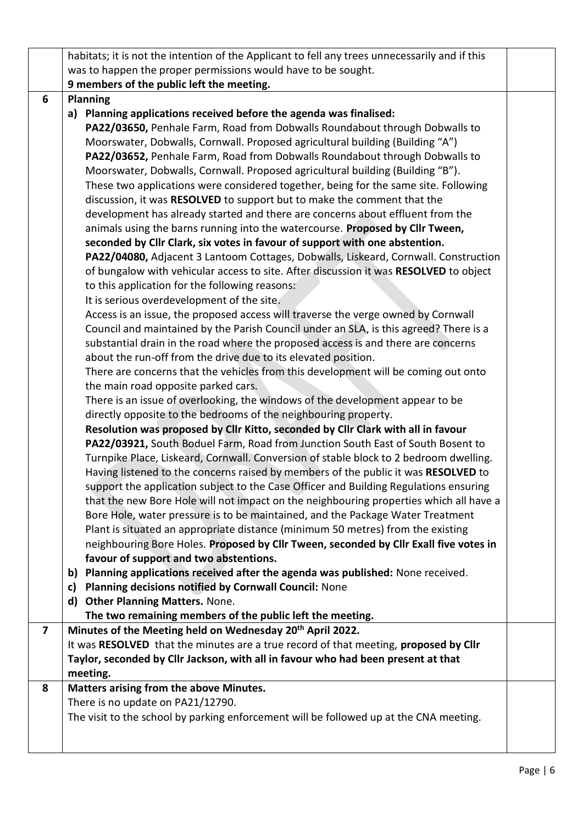|   | habitats; it is not the intention of the Applicant to fell any trees unnecessarily and if this |  |
|---|------------------------------------------------------------------------------------------------|--|
|   | was to happen the proper permissions would have to be sought.                                  |  |
|   | 9 members of the public left the meeting.                                                      |  |
| 6 | <b>Planning</b>                                                                                |  |
|   | a) Planning applications received before the agenda was finalised:                             |  |
|   | PA22/03650, Penhale Farm, Road from Dobwalls Roundabout through Dobwalls to                    |  |
|   | Moorswater, Dobwalls, Cornwall. Proposed agricultural building (Building "A")                  |  |
|   | PA22/03652, Penhale Farm, Road from Dobwalls Roundabout through Dobwalls to                    |  |
|   | Moorswater, Dobwalls, Cornwall. Proposed agricultural building (Building "B").                 |  |
|   | These two applications were considered together, being for the same site. Following            |  |
|   | discussion, it was RESOLVED to support but to make the comment that the                        |  |
|   | development has already started and there are concerns about effluent from the                 |  |
|   | animals using the barns running into the watercourse. Proposed by Cllr Tween,                  |  |
|   | seconded by Cllr Clark, six votes in favour of support with one abstention.                    |  |
|   | PA22/04080, Adjacent 3 Lantoom Cottages, Dobwalls, Liskeard, Cornwall. Construction            |  |
|   | of bungalow with vehicular access to site. After discussion it was RESOLVED to object          |  |
|   | to this application for the following reasons:                                                 |  |
|   | It is serious overdevelopment of the site.                                                     |  |
|   | Access is an issue, the proposed access will traverse the verge owned by Cornwall              |  |
|   | Council and maintained by the Parish Council under an SLA, is this agreed? There is a          |  |
|   | substantial drain in the road where the proposed access is and there are concerns              |  |
|   | about the run-off from the drive due to its elevated position.                                 |  |
|   | There are concerns that the vehicles from this development will be coming out onto             |  |
|   | the main road opposite parked cars.                                                            |  |
|   | There is an issue of overlooking, the windows of the development appear to be                  |  |
|   | directly opposite to the bedrooms of the neighbouring property.                                |  |
|   | Resolution was proposed by Cllr Kitto, seconded by Cllr Clark with all in favour               |  |
|   | PA22/03921, South Boduel Farm, Road from Junction South East of South Bosent to                |  |
|   | Turnpike Place, Liskeard, Cornwall. Conversion of stable block to 2 bedroom dwelling.          |  |
|   | Having listened to the concerns raised by members of the public it was RESOLVED to             |  |
|   | support the application subject to the Case Officer and Building Regulations ensuring          |  |
|   | that the new Bore Hole will not impact on the neighbouring properties which all have a         |  |
|   | Bore Hole, water pressure is to be maintained, and the Package Water Treatment                 |  |
|   | Plant is situated an appropriate distance (minimum 50 metres) from the existing                |  |
|   | neighbouring Bore Holes. Proposed by Cllr Tween, seconded by Cllr Exall five votes in          |  |
|   | favour of support and two abstentions.                                                         |  |
|   | b) Planning applications received after the agenda was published: None received.               |  |
|   | Planning decisions notified by Cornwall Council: None<br>c)                                    |  |
|   | <b>Other Planning Matters. None.</b><br>d)                                                     |  |
|   | The two remaining members of the public left the meeting.                                      |  |
| 7 | Minutes of the Meeting held on Wednesday 20 <sup>th</sup> April 2022.                          |  |
|   | It was RESOLVED that the minutes are a true record of that meeting, proposed by Cllr           |  |
|   | Taylor, seconded by Cllr Jackson, with all in favour who had been present at that              |  |
|   | meeting.                                                                                       |  |
| 8 | Matters arising from the above Minutes.                                                        |  |
|   | There is no update on PA21/12790.                                                              |  |
|   | The visit to the school by parking enforcement will be followed up at the CNA meeting.         |  |
|   |                                                                                                |  |
|   |                                                                                                |  |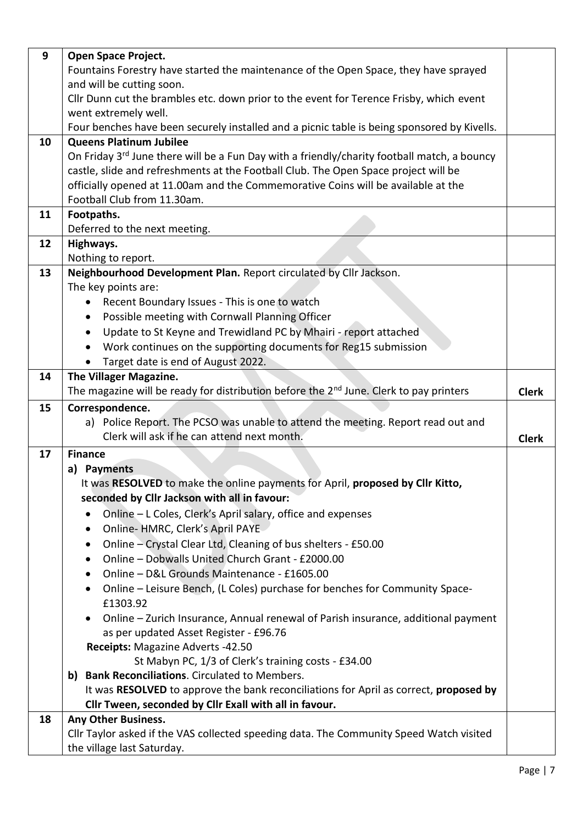| 9  | <b>Open Space Project.</b>                                                                                                                                               |              |
|----|--------------------------------------------------------------------------------------------------------------------------------------------------------------------------|--------------|
|    | Fountains Forestry have started the maintenance of the Open Space, they have sprayed                                                                                     |              |
|    | and will be cutting soon.                                                                                                                                                |              |
|    | Cllr Dunn cut the brambles etc. down prior to the event for Terence Frisby, which event                                                                                  |              |
|    | went extremely well.                                                                                                                                                     |              |
|    | Four benches have been securely installed and a picnic table is being sponsored by Kivells.                                                                              |              |
| 10 | <b>Queens Platinum Jubilee</b>                                                                                                                                           |              |
|    | On Friday 3 <sup>rd</sup> June there will be a Fun Day with a friendly/charity football match, a bouncy                                                                  |              |
|    | castle, slide and refreshments at the Football Club. The Open Space project will be<br>officially opened at 11.00am and the Commemorative Coins will be available at the |              |
|    | Football Club from 11.30am.                                                                                                                                              |              |
| 11 | Footpaths.                                                                                                                                                               |              |
|    | Deferred to the next meeting.                                                                                                                                            |              |
| 12 | Highways.                                                                                                                                                                |              |
|    | Nothing to report.                                                                                                                                                       |              |
| 13 | Neighbourhood Development Plan. Report circulated by Cllr Jackson.                                                                                                       |              |
|    | The key points are:                                                                                                                                                      |              |
|    | Recent Boundary Issues - This is one to watch                                                                                                                            |              |
|    | Possible meeting with Cornwall Planning Officer<br>٠                                                                                                                     |              |
|    | Update to St Keyne and Trewidland PC by Mhairi - report attached<br>٠                                                                                                    |              |
|    | Work continues on the supporting documents for Reg15 submission                                                                                                          |              |
|    | Target date is end of August 2022.                                                                                                                                       |              |
| 14 | The Villager Magazine.                                                                                                                                                   |              |
|    | The magazine will be ready for distribution before the 2 <sup>nd</sup> June. Clerk to pay printers                                                                       | <b>Clerk</b> |
| 15 | Correspondence.                                                                                                                                                          |              |
|    | a) Police Report. The PCSO was unable to attend the meeting. Report read out and                                                                                         |              |
|    | Clerk will ask if he can attend next month.                                                                                                                              | <b>Clerk</b> |
| 17 | <b>Finance</b>                                                                                                                                                           |              |
|    | a) Payments                                                                                                                                                              |              |
|    | It was RESOLVED to make the online payments for April, proposed by Cllr Kitto,                                                                                           |              |
|    | seconded by Cllr Jackson with all in favour:                                                                                                                             |              |
|    | Online - L Coles, Clerk's April salary, office and expenses<br>٠                                                                                                         |              |
|    | Online- HMRC, Clerk's April PAYE<br>٠                                                                                                                                    |              |
|    | Online - Crystal Clear Ltd, Cleaning of bus shelters - £50.00<br>$\bullet$                                                                                               |              |
|    | Online - Dobwalls United Church Grant - £2000.00<br>Online - D&L Grounds Maintenance - £1605.00                                                                          |              |
|    | ٠                                                                                                                                                                        |              |
|    | Online - Leisure Bench, (L Coles) purchase for benches for Community Space-<br>$\bullet$<br>£1303.92                                                                     |              |
|    | Online - Zurich Insurance, Annual renewal of Parish insurance, additional payment                                                                                        |              |
|    | as per updated Asset Register - £96.76                                                                                                                                   |              |
|    | Receipts: Magazine Adverts -42.50                                                                                                                                        |              |
|    | St Mabyn PC, 1/3 of Clerk's training costs - £34.00                                                                                                                      |              |
|    | b) Bank Reconciliations. Circulated to Members.                                                                                                                          |              |
|    | It was RESOLVED to approve the bank reconciliations for April as correct, proposed by                                                                                    |              |
|    | Cllr Tween, seconded by Cllr Exall with all in favour.                                                                                                                   |              |
| 18 | Any Other Business.                                                                                                                                                      |              |
|    |                                                                                                                                                                          |              |
|    | Cllr Taylor asked if the VAS collected speeding data. The Community Speed Watch visited<br>the village last Saturday.                                                    |              |